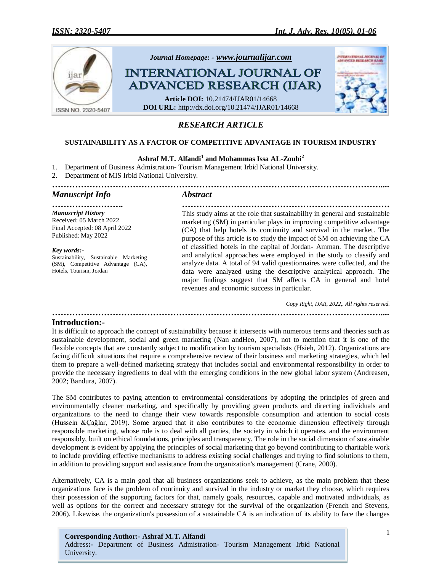

# *RESEARCH ARTICLE*

## **SUSTAINABILITY AS A FACTOR OF COMPETITIVE ADVANTAGE IN TOURISM INDUSTRY**

# **Ashraf M.T. Alfandi<sup>1</sup> and Mohammas Issa AL-Zoubi<sup>2</sup>**

1. Department of Business Admistration- Tourism Management Irbid National University.

2. Department of MIS Irbid National University.

*…………………………………………………………………………………………………….... Manuscript Info Abstract*

*Manuscript History* Received: 05 March 2022 Final Accepted: 08 April 2022 Published: May 2022

*Key words:-* Sustainability, Sustainable Marketing (SM), Competitive Advantage (CA), Hotels, Tourism, Jordan

*……………………. ………………………………………………………………* This study aims at the role that sustainability in general and sustainable marketing (SM) in particular plays in improving competitive advantage (CA) that help hotels its continuity and survival in the market. The purpose of this article is to study the impact of SM on achieving the CA of classified hotels in the capital of Jordan- Amman. The descriptive and analytical approaches were employed in the study to classify and analyze data. A total of 94 valid questionnaires were collected, and the data were analyzed using the descriptive analytical approach. The major findings suggest that SM affects CA in general and hotel revenues and economic success in particular.

> *Copy Right, IJAR, 2022,. All rights reserved. ……………………………………………………………………………………………………....*

#### **Introduction:-**

It is difficult to approach the concept of sustainability because it intersects with numerous terms and theories such as sustainable development, social and green marketing (Nan andHeo, 2007), not to mention that it is one of the flexible concepts that are constantly subject to modification by tourism specialists (Hsieh, 2012). Organizations are facing difficult situations that require a comprehensive review of their business and marketing strategies, which led them to prepare a well-defined marketing strategy that includes social and environmental responsibility in order to provide the necessary ingredients to deal with the emerging conditions in the new global labor system (Andreasen, 2002; Bandura, 2007).

The SM contributes to paying attention to environmental considerations by adopting the principles of green and environmentally cleaner marketing, and specifically by providing green products and directing individuals and organizations to the need to change their view towards responsible consumption and attention to social costs (Hussein &Çağlar, 2019). Some argued that it also contributes to the economic dimension effectively through responsible marketing, whose role is to deal with all parties, the society in which it operates, and the environment responsibly, built on ethical foundations, principles and transparency. The role in the social dimension of sustainable development is evident by applying the principles of social marketing that go beyond contributing to charitable work to include providing effective mechanisms to address existing social challenges and trying to find solutions to them, in addition to providing support and assistance from the organization's management (Crane, 2000).

Alternatively, CA is a main goal that all business organizations seek to achieve, as the main problem that these organizations face is the problem of continuity and survival in the industry or market they choose, which requires their possession of the supporting factors for that, namely goals, resources, capable and motivated individuals, as well as options for the correct and necessary strategy for the survival of the organization (French and Stevens, 2006). Likewise, the organization's possession of a sustainable CA is an indication of its ability to face the changes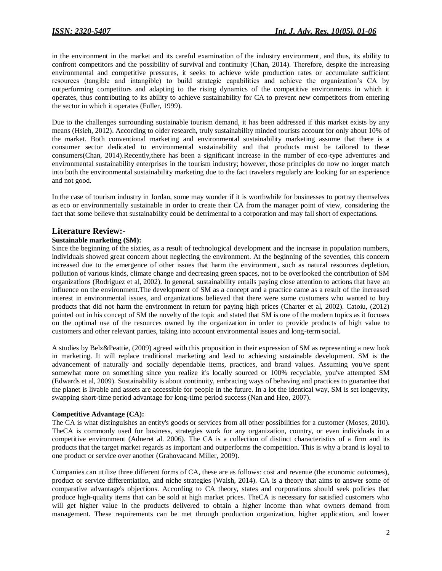in the environment in the market and its careful examination of the industry environment, and thus, its ability to confront competitors and the possibility of survival and continuity (Chan, 2014). Therefore, despite the increasing environmental and competitive pressures, it seeks to achieve wide production rates or accumulate sufficient resources (tangible and intangible) to build strategic capabilities and achieve the organization"s CA by outperforming competitors and adapting to the rising dynamics of the competitive environments in which it operates, thus contributing to its ability to achieve sustainability for CA to prevent new competitors from entering the sector in which it operates (Fuller, 1999).

Due to the challenges surrounding sustainable tourism demand, it has been addressed if this market exists by any means (Hsieh, 2012). According to older research, truly sustainability minded tourists account for only about 10% of the market. Both conventional marketing and environmental sustainability marketing assume that there is a consumer sector dedicated to environmental sustainability and that products must be tailored to these consumers(Chan, 2014).Recently,there has been a significant increase in the number of eco-type adventures and environmental sustainability enterprises in the tourism industry; however, those principles do now no longer match into both the environmental sustainability marketing due to the fact travelers regularly are looking for an experience and not good.

In the case of tourism industry in Jordan, some may wonder if it is worthwhile for businesses to portray themselves as eco or environmentally sustainable in order to create their CA from the manager point of view, considering the fact that some believe that sustainability could be detrimental to a corporation and may fall short of expectations.

## **Literature Review:-**

#### **Sustainable marketing (SM):**

Since the beginning of the sixties, as a result of technological development and the increase in population numbers, individuals showed great concern about neglecting the environment. At the beginning of the seventies, this concern increased due to the emergence of other issues that harm the environment, such as natural resources depletion, pollution of various kinds, climate change and decreasing green spaces, not to be overlooked the contribution of SM organizations (Rodriguez et al, 2002). In general, sustainability entails paying close attention to actions that have an influence on the environment.The development of SM as a concept and a practice came as a result of the increased interest in environmental issues, and organizations believed that there were some customers who wanted to buy products that did not harm the environment in return for paying high prices (Charter et al, 2002). Catoiu, (2012) pointed out in his concept of SM the novelty of the topic and stated that SM is one of the modern topics as it focuses on the optimal use of the resources owned by the organization in order to provide products of high value to customers and other relevant parties, taking into account environmental issues and long-term social.

A studies by Belz&Peattie, (2009) agreed with this proposition in their expression of SM as representing a new look in marketing. It will replace traditional marketing and lead to achieving sustainable development. SM is the advancement of naturally and socially dependable items, practices, and brand values. Assuming you've spent somewhat more on something since you realize it's locally sourced or 100% recyclable, you've attempted SM (Edwards et al, 2009). Sustainability is about continuity, embracing ways of behaving and practices to guarantee that the planet is livable and assets are accessible for people in the future. In a lot the identical way, SM is set longevity, swapping short-time period advantage for long-time period success (Nan and Heo, 2007).

#### **Competitive Advantage (CA):**

The CA is what distinguishes an entity's goods or services from all other possibilities for a customer (Moses, 2010). TheCA is commonly used for business, strategies work for any organization, country, or even individuals in a competitive environment (Adneret al. 2006). The CA is a collection of distinct characteristics of a firm and its products that the target market regards as important and outperforms the competition. This is why a brand is loyal to one product or service over another (Grahovacand Miller, 2009).

Companies can utilize three different forms of CA, these are as follows: cost and revenue (the economic outcomes), product or service differentiation, and niche strategies (Walsh, 2014). CA is a theory that aims to answer some of comparative advantage's objections. According to CA theory, states and corporations should seek policies that produce high-quality items that can be sold at high market prices. TheCA is necessary for satisfied customers who will get higher value in the products delivered to obtain a higher income than what owners demand from management. These requirements can be met through production organization, higher application, and lower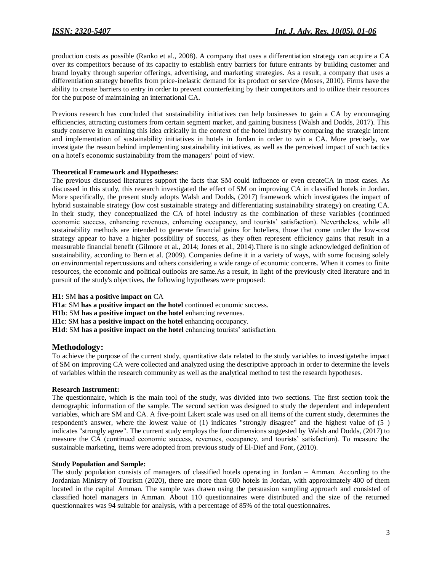production costs as possible (Ranko et al., 2008). A company that uses a differentiation strategy can acquire a CA over its competitors because of its capacity to establish entry barriers for future entrants by building customer and brand loyalty through superior offerings, advertising, and marketing strategies. As a result, a company that uses a differentiation strategy benefits from price-inelastic demand for its product or service (Moses, 2010). Firms have the ability to create barriers to entry in order to prevent counterfeiting by their competitors and to utilize their resources for the purpose of maintaining an international CA.

Previous research has concluded that sustainability initiatives can help businesses to gain a CA by encouraging efficiencies, attracting customers from certain segment market, and gaining business (Walsh and Dodds, 2017). This study conserve in examining this idea critically in the context of the hotel industry by comparing the strategic intent and implementation of sustainability initiatives in hotels in Jordan in order to win a CA. More precisely, we investigate the reason behind implementing sustainability initiatives, as well as the perceived impact of such tactics on a hotel's economic sustainability from the managers" point of view.

#### **Theoretical Framework and Hypotheses:**

The previous discussed literatures support the facts that SM could influence or even createCA in most cases. As discussed in this study, this research investigated the effect of SM on improving CA in classified hotels in Jordan. More specifically, the present study adopts Walsh and Dodds, (2017) framework which investigates the impact of hybrid sustainable strategy (low cost sustainable strategy and differentiating sustainability strategy) on creating CA. In their study, they conceptualized the CA of hotel industry as the combination of these variables (continued economic success, enhancing revenues, enhancing occupancy, and tourists" satisfaction). Nevertheless, while all sustainability methods are intended to generate financial gains for hoteliers, those that come under the low-cost strategy appear to have a higher possibility of success, as they often represent efficiency gains that result in a measurable financial benefit (Gilmore et al., 2014; Jones et al., 2014).There is no single acknowledged definition of sustainability, according to Bern et al. (2009). Companies define it in a variety of ways, with some focusing solely on environmental repercussions and others considering a wide range of economic concerns. When it comes to finite resources, the economic and political outlooks are same.As a result, in light of the previously cited literature and in pursuit of the study's objectives, the following hypotheses were proposed:

#### **H1:** SM **has a positive impact on** CA

**H1a**: SM **has a positive impact on the hotel** continued economic success.

**H1b**: SM has a positive impact on the hotel enhancing revenues.

**H1c**: SM **has a positive impact on the hotel** enhancing occupancy.

H1d: SM has a positive impact on the hotel enhancing tourists' satisfaction.

#### **Methodology:**

To achieve the purpose of the current study, quantitative data related to the study variables to investigatethe impact of SM on improving CA were collected and analyzed using the descriptive approach in order to determine the levels of variables within the research community as well as the analytical method to test the research hypotheses.

#### **Research Instrument:**

The questionnaire, which is the main tool of the study, was divided into two sections. The first section took the demographic information of the sample. The second section was designed to study the dependent and independent variables, which are SM and CA. A five-point Likert scale was used on all items of the current study, determines the respondent's answer, where the lowest value of (1) indicates "strongly disagree" and the highest value of (5 ) indicates "strongly agree". The current study employs the four dimensions suggested by Walsh and Dodds, (2017) to measure the CA (continued economic success, revenues, occupancy, and tourists" satisfaction). To measure the sustainable marketing, items were adopted from previous study of El-Dief and Font, (2010).

#### **Study Population and Sample:**

The study population consists of managers of classified hotels operating in Jordan – Amman. According to the Jordanian Ministry of Tourism (2020), there are more than 600 hotels in Jordan, with approximately 400 of them located in the capital Amman. The sample was drawn using the persuasion sampling approach and consisted of classified hotel managers in Amman. About 110 questionnaires were distributed and the size of the returned questionnaires was 94 suitable for analysis, with a percentage of 85% of the total questionnaires.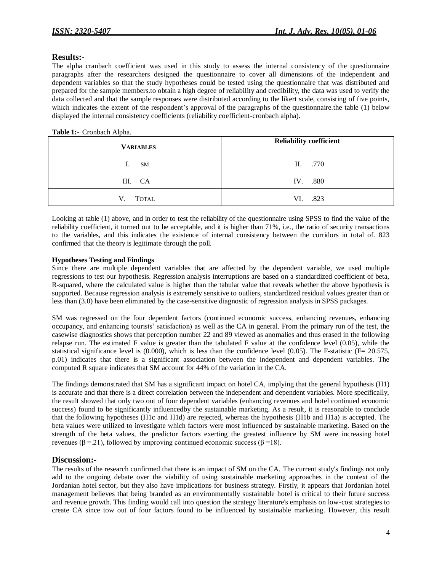## **Results:-**

The alpha cranbach coefficient was used in this study to assess the internal consistency of the questionnaire paragraphs after the researchers designed the questionnaire to cover all dimensions of the independent and dependent variables so that the study hypotheses could be tested using the questionnaire that was distributed and prepared for the sample members.to obtain a high degree of reliability and credibility, the data was used to verify the data collected and that the sample responses were distributed according to the likert scale, consisting of five points, which indicates the extent of the respondent's approval of the paragraphs of the questionnaire.the table (1) below displayed the internal consistency coefficients (reliability coefficient-cronbach alpha).

#### **Table 1:-** Cronbach Alpha.

| <b>VARIABLES</b>   | <b>Reliability coefficient</b> |
|--------------------|--------------------------------|
| SM                 | II. .770                       |
| III. CA            | IV. .880                       |
| <b>TOTAL</b><br>V. | VI. .823                       |

Looking at table (1) above, and in order to test the reliability of the questionnaire using SPSS to find the value of the reliability coefficient, it turned out to be acceptable, and it is higher than 71%, i.e., the ratio of security transactions to the variables, and this indicates the existence of internal consistency between the corridors in total of. 823 confirmed that the theory is legitimate through the poll.

## **Hypotheses Testing and Findings**

Since there are multiple dependent variables that are affected by the dependent variable, we used multiple regressions to test our hypothesis. Regression analysis interruptions are based on a standardized coefficient of beta, R-squared, where the calculated value is higher than the tabular value that reveals whether the above hypothesis is supported. Because regression analysis is extremely sensitive to outliers, standardized residual values greater than or less than (3.0) have been eliminated by the case-sensitive diagnostic of regression analysis in SPSS packages.

SM was regressed on the four dependent factors (continued economic success, enhancing revenues, enhancing occupancy, and enhancing tourists" satisfaction) as well as the CA in general. From the primary run of the test, the casewise diagnostics shows that perception number 22 and 89 viewed as anomalies and thus erased in the following relapse run. The estimated F value is greater than the tabulated F value at the confidence level (0.05), while the statistical significance level is  $(0.000)$ , which is less than the confidence level  $(0.05)$ . The F-statistic (F= 20.575, p.01) indicates that there is a significant association between the independent and dependent variables. The computed R square indicates that SM account for 44% of the variation in the CA.

The findings demonstrated that SM has a significant impact on hotel CA, implying that the general hypothesis (H1) is accurate and that there is a direct correlation between the independent and dependent variables. More specifically, the result showed that only two out of four dependent variables (enhancing revenues and hotel continued economic success) found to be significantly influencedby the sustainable marketing. As a result, it is reasonable to conclude that the following hypotheses (H1c and H1d) are rejected, whereas the hypothesis (H1b and H1a) is accepted. The beta values were utilized to investigate which factors were most influenced by sustainable marketing. Based on the strength of the beta values, the predictor factors exerting the greatest influence by SM were increasing hotel revenues (β = 21), followed by improving continued economic success (β = 18).

# **Discussion:-**

The results of the research confirmed that there is an impact of SM on the CA. The current study's findings not only add to the ongoing debate over the viability of using sustainable marketing approaches in the context of the Jordanian hotel sector, but they also have implications for business strategy. Firstly, it appears that Jordanian hotel management believes that being branded as an environmentally sustainable hotel is critical to their future success and revenue growth. This finding would call into question the strategy literature's emphasis on low-cost strategies to create CA since tow out of four factors found to be influenced by sustainable marketing. However, this result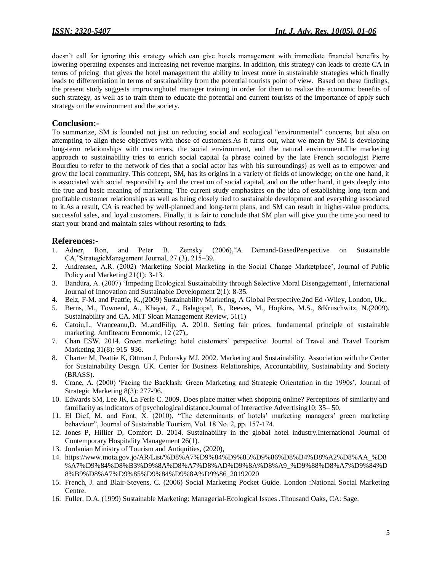doesn't call for ignoring this strategy which can give hotels management with immediate financial benefits by lowering operating expenses and increasing net revenue margins. In addition, this strategy can leads to create CA in terms of pricing that gives the hotel management the ability to invest more in sustainable strategies which finally leads to differentiation in terms of sustainability from the potential tourists point of view. Based on these findings, the present study suggests improvinghotel manager training in order for them to realize the economic benefits of such strategy, as well as to train them to educate the potential and current tourists of the importance of apply such strategy on the environment and the society.

# **Conclusion:-**

To summarize, SM is founded not just on reducing social and ecological "environmental" concerns, but also on attempting to align these objectives with those of customers.As it turns out, what we mean by SM is developing long-term relationships with customers, the social environment, and the natural environment.The marketing approach to sustainability tries to enrich social capital (a phrase coined by the late French sociologist Pierre Bourdieu to refer to the network of ties that a social actor has with his surroundings) as well as to empower and grow the local community. This concept, SM, has its origins in a variety of fields of knowledge; on the one hand, it is associated with social responsibility and the creation of social capital, and on the other hand, it gets deeply into the true and basic meaning of marketing. The current study emphasizes on the idea of establishing long-term and profitable customer relationships as well as being closely tied to sustainable development and everything associated to it.As a result, CA is reached by well-planned and long-term plans, and SM can result in higher-value products, successful sales, and loyal customers. Finally, it is fair to conclude that SM plan will give you the time you need to start your brand and maintain sales without resorting to fads.

# **References:-**

- 1. Adner, Ron, and Peter B. Zemsky (2006),"A Demand-BasedPerspective on Sustainable CA,"StrategicManagement Journal, 27 (3), 215–39.
- 2. Andreasen, A.R. (2002) "Marketing Social Marketing in the Social Change Marketplace", Journal of Public Policy and Marketing 21(1): 3-13.
- 3. Bandura, A. (2007) "Impeding Ecological Sustainability through Selective Moral Disengagement", International Journal of Innovation and Sustainable Development 2(1): 8-35.
- 4. Belz, F-M. and Peattie, K.,(2009) Sustainability Marketing, A Global Perspective,2nd Ed ،Wiley, London, Uk,.
- 5. Berns, M., Townend, A., Khayat, Z., Balagopal, B., Reeves, M., Hopkins, M.S., &Kruschwitz, N.(2009). Sustainability and CA. MIT Sloan Management Review, 51(1)
- 6. Catoiu,I., Vranceanu,D. M.,andFilip, A. 2010. Setting fair prices, fundamental principle of sustainable marketing. Amfiteatru Economic, 12 (27),.
- 7. Chan ESW. 2014. Green marketing: hotel customers" perspective. Journal of Travel and Travel Tourism Marketing 31(8): 915–936.
- 8. Charter M, Peattie K, Ottman J, Polonsky MJ. 2002. Marketing and Sustainability. Association with the Center for Sustainability Design. UK. Center for Business Relationships, Accountability, Sustainability and Society (BRASS).
- 9. Crane, A. (2000) "Facing the Backlash: Green Marketing and Strategic Orientation in the 1990s", Journal of Strategic Marketing 8(3): 277-96.
- 10. Edwards SM, Lee JK, La Ferle C. 2009. Does place matter when shopping online? Perceptions of similarity and familiarity as indicators of psychological distance.Journal of Interactive Advertising10: 35– 50.
- 11. El Dief, M. and Font, X. (2010), "The determinants of hotels" marketing managers" green marketing behaviour", Journal of Sustainable Tourism, Vol. 18 No. 2, pp. 157-174.
- 12. Jones P, Hillier D, Comfort D. 2014. Sustainability in the global hotel industry.International Journal of Contemporary Hospitality Management 26(1).
- 13. Jordanian Ministry of Tourism and Antiquities, (2020),
- 14. https://www.mota.gov.jo/AR/List/%D8%A7%D9%84%D9%85%D9%86%D8%B4%D8%A2%D8%AA\_%D8 %A7%D9%84%D8%B3%D9%8A%D8%A7%D8%AD%D9%8A%D8%A9\_%D9%88%D8%A7%D9%84%D 8%B9%D8%A7%D9%85%D9%84%D9%8A%D9%86\_20192020
- 15. French, J. and Blair-Stevens, C. (2006) Social Marketing Pocket Guide. London :National Social Marketing Centre.
- 16. Fuller, D.A. (1999) Sustainable Marketing: Managerial-Ecological Issues .Thousand Oaks, CA: Sage.